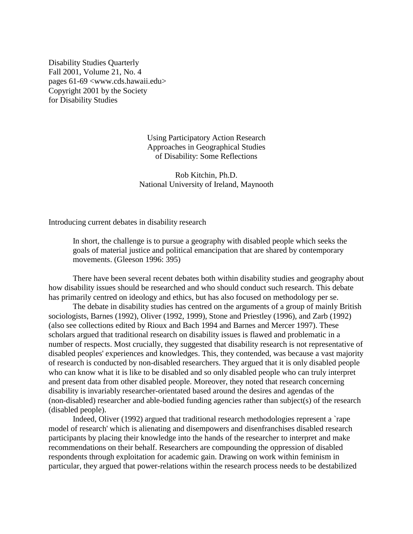Disability Studies Quarterly Fall 2001, Volume 21, No. 4 pages 61-69 <www.cds.hawaii.edu> Copyright 2001 by the Society for Disability Studies

> Using Participatory Action Research Approaches in Geographical Studies of Disability: Some Reflections

 Rob Kitchin, Ph.D. National University of Ireland, Maynooth

Introducing current debates in disability research

 In short, the challenge is to pursue a geography with disabled people which seeks the goals of material justice and political emancipation that are shared by contemporary movements. (Gleeson 1996: 395)

 There have been several recent debates both within disability studies and geography about how disability issues should be researched and who should conduct such research. This debate has primarily centred on ideology and ethics, but has also focused on methodology per se.

 The debate in disability studies has centred on the arguments of a group of mainly British sociologists, Barnes (1992), Oliver (1992, 1999), Stone and Priestley (1996), and Zarb (1992) (also see collections edited by Rioux and Bach 1994 and Barnes and Mercer 1997). These scholars argued that traditional research on disability issues is flawed and problematic in a number of respects. Most crucially, they suggested that disability research is not representative of disabled peoples' experiences and knowledges. This, they contended, was because a vast majority of research is conducted by non-disabled researchers. They argued that it is only disabled people who can know what it is like to be disabled and so only disabled people who can truly interpret and present data from other disabled people. Moreover, they noted that research concerning disability is invariably researcher-orientated based around the desires and agendas of the (non-disabled) researcher and able-bodied funding agencies rather than subject(s) of the research (disabled people).

 Indeed, Oliver (1992) argued that traditional research methodologies represent a `rape model of research' which is alienating and disempowers and disenfranchises disabled research participants by placing their knowledge into the hands of the researcher to interpret and make recommendations on their behalf. Researchers are compounding the oppression of disabled respondents through exploitation for academic gain. Drawing on work within feminism in particular, they argued that power-relations within the research process needs to be destabilized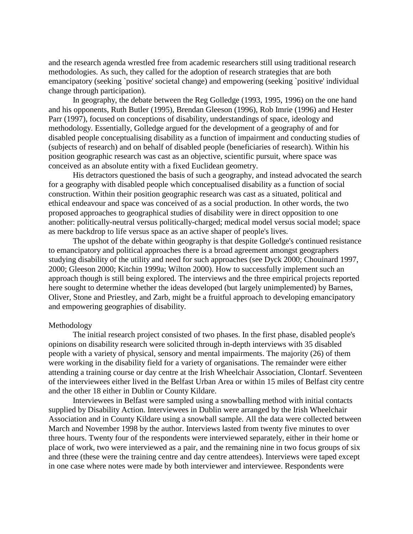and the research agenda wrestled free from academic researchers still using traditional research methodologies. As such, they called for the adoption of research strategies that are both emancipatory (seeking `positive' societal change) and empowering (seeking `positive' individual change through participation).

 In geography, the debate between the Reg Golledge (1993, 1995, 1996) on the one hand and his opponents, Ruth Butler (1995), Brendan Gleeson (1996), Rob Imrie (1996) and Hester Parr (1997), focused on conceptions of disability, understandings of space, ideology and methodology. Essentially, Golledge argued for the development of a geography of and for disabled people conceptualising disability as a function of impairment and conducting studies of (subjects of research) and on behalf of disabled people (beneficiaries of research). Within his position geographic research was cast as an objective, scientific pursuit, where space was conceived as an absolute entity with a fixed Euclidean geometry.

 His detractors questioned the basis of such a geography, and instead advocated the search for a geography with disabled people which conceptualised disability as a function of social construction. Within their position geographic research was cast as a situated, political and ethical endeavour and space was conceived of as a social production. In other words, the two proposed approaches to geographical studies of disability were in direct opposition to one another: politically-neutral versus politically-charged; medical model versus social model; space as mere backdrop to life versus space as an active shaper of people's lives.

 The upshot of the debate within geography is that despite Golledge's continued resistance to emancipatory and political approaches there is a broad agreement amongst geographers studying disability of the utility and need for such approaches (see Dyck 2000; Chouinard 1997, 2000; Gleeson 2000; Kitchin 1999a; Wilton 2000). How to successfully implement such an approach though is still being explored. The interviews and the three empirical projects reported here sought to determine whether the ideas developed (but largely unimplemented) by Barnes, Oliver, Stone and Priestley, and Zarb, might be a fruitful approach to developing emancipatory and empowering geographies of disability.

#### Methodology

 The initial research project consisted of two phases. In the first phase, disabled people's opinions on disability research were solicited through in-depth interviews with 35 disabled people with a variety of physical, sensory and mental impairments. The majority (26) of them were working in the disability field for a variety of organisations. The remainder were either attending a training course or day centre at the Irish Wheelchair Association, Clontarf. Seventeen of the interviewees either lived in the Belfast Urban Area or within 15 miles of Belfast city centre and the other 18 either in Dublin or County Kildare.

 Interviewees in Belfast were sampled using a snowballing method with initial contacts supplied by Disability Action. Interviewees in Dublin were arranged by the Irish Wheelchair Association and in County Kildare using a snowball sample. All the data were collected between March and November 1998 by the author. Interviews lasted from twenty five minutes to over three hours. Twenty four of the respondents were interviewed separately, either in their home or place of work, two were interviewed as a pair, and the remaining nine in two focus groups of six and three (these were the training centre and day centre attendees). Interviews were taped except in one case where notes were made by both interviewer and interviewee. Respondents were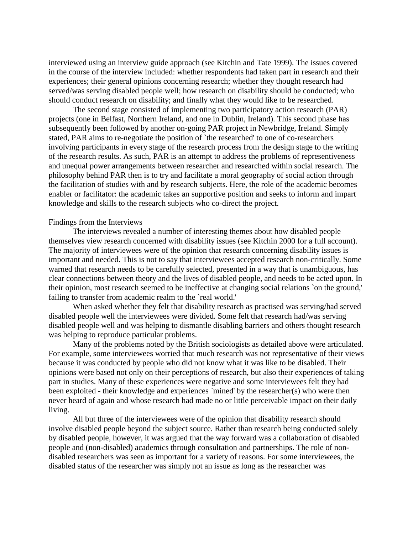interviewed using an interview guide approach (see Kitchin and Tate 1999). The issues covered in the course of the interview included: whether respondents had taken part in research and their experiences; their general opinions concerning research; whether they thought research had served/was serving disabled people well; how research on disability should be conducted; who should conduct research on disability; and finally what they would like to be researched.

 The second stage consisted of implementing two participatory action research (PAR) projects (one in Belfast, Northern Ireland, and one in Dublin, Ireland). This second phase has subsequently been followed by another on-going PAR project in Newbridge, Ireland. Simply stated, PAR aims to re-negotiate the position of `the researched' to one of co-researchers involving participants in every stage of the research process from the design stage to the writing of the research results. As such, PAR is an attempt to address the problems of representiveness and unequal power arrangements between researcher and researched within social research. The philosophy behind PAR then is to try and facilitate a moral geography of social action through the facilitation of studies with and by research subjects. Here, the role of the academic becomes enabler or facilitator: the academic takes an supportive position and seeks to inform and impart knowledge and skills to the research subjects who co-direct the project.

## Findings from the Interviews

 The interviews revealed a number of interesting themes about how disabled people themselves view research concerned with disability issues (see Kitchin 2000 for a full account). The majority of interviewees were of the opinion that research concerning disability issues is important and needed. This is not to say that interviewees accepted research non-critically. Some warned that research needs to be carefully selected, presented in a way that is unambiguous, has clear connections between theory and the lives of disabled people, and needs to be acted upon. In their opinion, most research seemed to be ineffective at changing social relations `on the ground,' failing to transfer from academic realm to the 'real world.'

 When asked whether they felt that disability research as practised was serving/had served disabled people well the interviewees were divided. Some felt that research had/was serving disabled people well and was helping to dismantle disabling barriers and others thought research was helping to reproduce particular problems.

 Many of the problems noted by the British sociologists as detailed above were articulated. For example, some interviewees worried that much research was not representative of their views because it was conducted by people who did not know what it was like to be disabled. Their opinions were based not only on their perceptions of research, but also their experiences of taking part in studies. Many of these experiences were negative and some interviewees felt they had been exploited - their knowledge and experiences `mined' by the researcher(s) who were then never heard of again and whose research had made no or little perceivable impact on their daily living.

 All but three of the interviewees were of the opinion that disability research should involve disabled people beyond the subject source. Rather than research being conducted solely by disabled people, however, it was argued that the way forward was a collaboration of disabled people and (non-disabled) academics through consultation and partnerships. The role of nondisabled researchers was seen as important for a variety of reasons. For some interviewees, the disabled status of the researcher was simply not an issue as long as the researcher was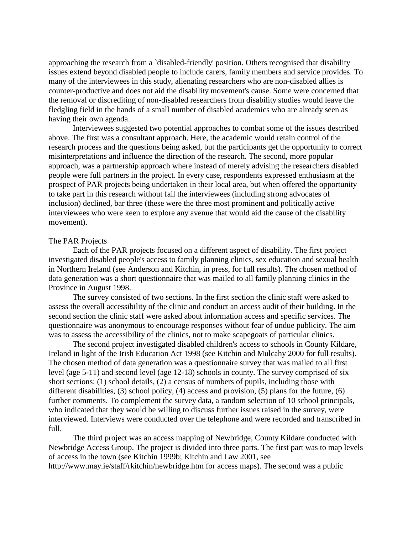approaching the research from a `disabled-friendly' position. Others recognised that disability issues extend beyond disabled people to include carers, family members and service provides. To many of the interviewees in this study, alienating researchers who are non-disabled allies is counter-productive and does not aid the disability movement's cause. Some were concerned that the removal or discrediting of non-disabled researchers from disability studies would leave the fledgling field in the hands of a small number of disabled academics who are already seen as having their own agenda.

 Interviewees suggested two potential approaches to combat some of the issues described above. The first was a consultant approach. Here, the academic would retain control of the research process and the questions being asked, but the participants get the opportunity to correct misinterpretations and influence the direction of the research. The second, more popular approach, was a partnership approach where instead of merely advising the researchers disabled people were full partners in the project. In every case, respondents expressed enthusiasm at the prospect of PAR projects being undertaken in their local area, but when offered the opportunity to take part in this research without fail the interviewees (including strong advocates of inclusion) declined, bar three (these were the three most prominent and politically active interviewees who were keen to explore any avenue that would aid the cause of the disability movement).

### The PAR Projects

 Each of the PAR projects focused on a different aspect of disability. The first project investigated disabled people's access to family planning clinics, sex education and sexual health in Northern Ireland (see Anderson and Kitchin, in press, for full results). The chosen method of data generation was a short questionnaire that was mailed to all family planning clinics in the Province in August 1998.

 The survey consisted of two sections. In the first section the clinic staff were asked to assess the overall accessibility of the clinic and conduct an access audit of their building. In the second section the clinic staff were asked about information access and specific services. The questionnaire was anonymous to encourage responses without fear of undue publicity. The aim was to assess the accessibility of the clinics, not to make scapegoats of particular clinics.

 The second project investigated disabled children's access to schools in County Kildare, Ireland in light of the Irish Education Act 1998 (see Kitchin and Mulcahy 2000 for full results). The chosen method of data generation was a questionnaire survey that was mailed to all first level (age 5-11) and second level (age 12-18) schools in county. The survey comprised of six short sections: (1) school details, (2) a census of numbers of pupils, including those with different disabilities, (3) school policy, (4) access and provision, (5) plans for the future, (6) further comments. To complement the survey data, a random selection of 10 school principals, who indicated that they would be willing to discuss further issues raised in the survey, were interviewed. Interviews were conducted over the telephone and were recorded and transcribed in full.

 The third project was an access mapping of Newbridge, County Kildare conducted with Newbridge Access Group. The project is divided into three parts. The first part was to map levels of access in the town (see Kitchin 1999b; Kitchin and Law 2001, see http://www.may.ie/staff/rkitchin/newbridge.htm for access maps). The second was a public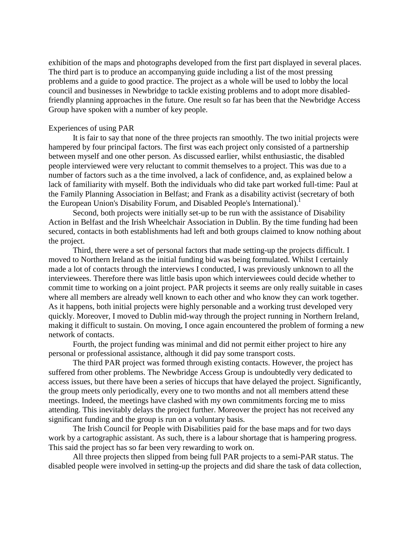exhibition of the maps and photographs developed from the first part displayed in several places. The third part is to produce an accompanying guide including a list of the most pressing problems and a guide to good practice. The project as a whole will be used to lobby the local council and businesses in Newbridge to tackle existing problems and to adopt more disabledfriendly planning approaches in the future. One result so far has been that the Newbridge Access Group have spoken with a number of key people.

### Experiences of using PAR

 It is fair to say that none of the three projects ran smoothly. The two initial projects were hampered by four principal factors. The first was each project only consisted of a partnership between myself and one other person. As discussed earlier, whilst enthusiastic, the disabled people interviewed were very reluctant to commit themselves to a project. This was due to a number of factors such as a the time involved, a lack of confidence, and, as explained below a lack of familiarity with myself. Both the individuals who did take part worked full-time: Paul at the Family Planning Association in Belfast; and Frank as a disability activist (secretary of both the European Union's Disability Forum, and Disabled People's International).<sup>1</sup>

 Second, both projects were initially set-up to be run with the assistance of Disability Action in Belfast and the Irish Wheelchair Association in Dublin. By the time funding had been secured, contacts in both establishments had left and both groups claimed to know nothing about the project.

 Third, there were a set of personal factors that made setting-up the projects difficult. I moved to Northern Ireland as the initial funding bid was being formulated. Whilst I certainly made a lot of contacts through the interviews I conducted, I was previously unknown to all the interviewees. Therefore there was little basis upon which interviewees could decide whether to commit time to working on a joint project. PAR projects it seems are only really suitable in cases where all members are already well known to each other and who know they can work together. As it happens, both initial projects were highly personable and a working trust developed very quickly. Moreover, I moved to Dublin mid-way through the project running in Northern Ireland, making it difficult to sustain. On moving, I once again encountered the problem of forming a new network of contacts.

 Fourth, the project funding was minimal and did not permit either project to hire any personal or professional assistance, although it did pay some transport costs.

 The third PAR project was formed through existing contacts. However, the project has suffered from other problems. The Newbridge Access Group is undoubtedly very dedicated to access issues, but there have been a series of hiccups that have delayed the project. Significantly, the group meets only periodically, every one to two months and not all members attend these meetings. Indeed, the meetings have clashed with my own commitments forcing me to miss attending. This inevitably delays the project further. Moreover the project has not received any significant funding and the group is run on a voluntary basis.

 The Irish Council for People with Disabilities paid for the base maps and for two days work by a cartographic assistant. As such, there is a labour shortage that is hampering progress. This said the project has so far been very rewarding to work on.

 All three projects then slipped from being full PAR projects to a semi-PAR status. The disabled people were involved in setting-up the projects and did share the task of data collection,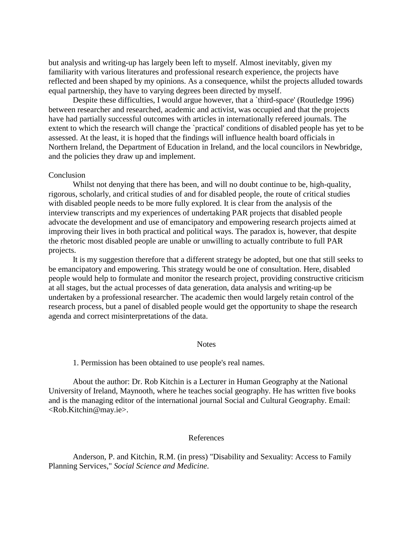but analysis and writing-up has largely been left to myself. Almost inevitably, given my familiarity with various literatures and professional research experience, the projects have reflected and been shaped by my opinions. As a consequence, whilst the projects alluded towards equal partnership, they have to varying degrees been directed by myself.

Despite these difficulties, I would argue however, that a 'third-space' (Routledge 1996) between researcher and researched, academic and activist, was occupied and that the projects have had partially successful outcomes with articles in internationally refereed journals. The extent to which the research will change the `practical' conditions of disabled people has yet to be assessed. At the least, it is hoped that the findings will influence health board officials in Northern Ireland, the Department of Education in Ireland, and the local councilors in Newbridge, and the policies they draw up and implement.

## Conclusion

 Whilst not denying that there has been, and will no doubt continue to be, high-quality, rigorous, scholarly, and critical studies of and for disabled people, the route of critical studies with disabled people needs to be more fully explored. It is clear from the analysis of the interview transcripts and my experiences of undertaking PAR projects that disabled people advocate the development and use of emancipatory and empowering research projects aimed at improving their lives in both practical and political ways. The paradox is, however, that despite the rhetoric most disabled people are unable or unwilling to actually contribute to full PAR projects.

 It is my suggestion therefore that a different strategy be adopted, but one that still seeks to be emancipatory and empowering. This strategy would be one of consultation. Here, disabled people would help to formulate and monitor the research project, providing constructive criticism at all stages, but the actual processes of data generation, data analysis and writing-up be undertaken by a professional researcher. The academic then would largely retain control of the research process, but a panel of disabled people would get the opportunity to shape the research agenda and correct misinterpretations of the data.

### Notes

1. Permission has been obtained to use people's real names.

 About the author: Dr. Rob Kitchin is a Lecturer in Human Geography at the National University of Ireland, Maynooth, where he teaches social geography. He has written five books and is the managing editor of the international journal Social and Cultural Geography. Email: <Rob.Kitchin@may.ie>.

# References

 Anderson, P. and Kitchin, R.M. (in press) "Disability and Sexuality: Access to Family Planning Services," *Social Science and Medicine*.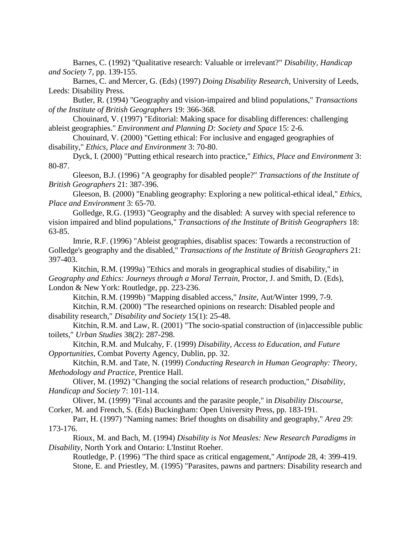Barnes, C. (1992) "Qualitative research: Valuable or irrelevant?" *Disability, Handicap and Society* 7, pp. 139-155.

 Barnes, C. and Mercer, G. (Eds) (1997) *Doing Disability Research*, University of Leeds, Leeds: Disability Press.

 Butler, R. (1994) "Geography and vision-impaired and blind populations," *Transactions of the Institute of British Geographers* 19: 366-368.

 Chouinard, V. (1997) "Editorial: Making space for disabling differences: challenging ableist geographies." *Environment and Planning D: Society and Space* 15: 2-6.

 Chouinard, V. (2000) "Getting ethical: For inclusive and engaged geographies of disability," *Ethics, Place and Environment* 3: 70-80.

 Dyck, I. (2000) "Putting ethical research into practice," *Ethics, Place and Environment* 3: 80-87.

 Gleeson, B.J. (1996) "A geography for disabled people?" *Transactions of the Institute of British Geographers* 21: 387-396.

 Gleeson, B. (2000) "Enabling geography: Exploring a new political-ethical ideal," *Ethics, Place and Environment* 3: 65-70.

 Golledge, R.G. (1993) "Geography and the disabled: A survey with special reference to vision impaired and blind populations," *Transactions of the Institute of British Geographers* 18: 63-85.

 Imrie, R.F. (1996) "Ableist geographies, disablist spaces: Towards a reconstruction of Golledge's geography and the disabled," *Transactions of the Institute of British Geographers* 21: 397-403.

 Kitchin, R.M. (1999a) "Ethics and morals in geographical studies of disability," in *Geography and Ethics: Journeys through a Moral Terrain*, Proctor, J. and Smith, D. (Eds), London & New York: Routledge, pp. 223-236.

Kitchin, R.M. (1999b) "Mapping disabled access," *Insite*, Aut/Winter 1999, 7-9.

 Kitchin, R.M. (2000) "The researched opinions on research: Disabled people and disability research," *Disability and Society* 15(1): 25-48.

 Kitchin, R.M. and Law, R. (2001) "The socio-spatial construction of (in)accessible public toilets," *Urban Studies* 38(2): 287-298.

 Kitchin, R.M. and Mulcahy, F. (1999) *Disability, Access to Education, and Future Opportunities*, Combat Poverty Agency, Dublin, pp. 32.

 Kitchin, R.M. and Tate, N. (1999) *Conducting Research in Human Geography: Theory, Methodology and Practice*, Prentice Hall.

 Oliver, M. (1992) "Changing the social relations of research production," *Disability, Handicap and Society* 7: 101-114.

 Oliver, M. (1999) "Final accounts and the parasite people," in *Disability Discourse*, Corker, M. and French, S. (Eds) Buckingham: Open University Press, pp. 183-191.

 Parr, H. (1997) "Naming names: Brief thoughts on disability and geography," *Area* 29: 173-176.

 Rioux, M. and Bach, M. (1994) *Disability is Not Measles: New Research Paradigms in Disability*, North York and Ontario: L'Institut Roeher.

 Routledge, P. (1996) "The third space as critical engagement," *Antipode* 28, 4: 399-419. Stone, E. and Priestley, M. (1995) "Parasites, pawns and partners: Disability research and